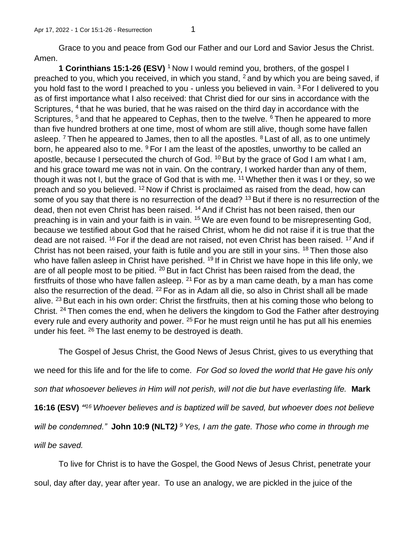Grace to you and peace from God our Father and our Lord and Savior Jesus the Christ. Amen.

**1 Corinthians 15:1-26 (ESV)** <sup>1</sup> Now I would remind you, brothers, of the gospel I preached to you, which you received, in which you stand,  $2$  and by which you are being saved, if you hold fast to the word I preached to you - unless you believed in vain. <sup>3</sup> For I delivered to you as of first importance what I also received: that Christ died for our sins in accordance with the Scriptures, <sup>4</sup> that he was buried, that he was raised on the third day in accordance with the Scriptures, <sup>5</sup> and that he appeared to Cephas, then to the twelve. <sup>6</sup> Then he appeared to more than five hundred brothers at one time, most of whom are still alive, though some have fallen asleep.  $7$  Then he appeared to James, then to all the apostles.  $8$  Last of all, as to one untimely born, he appeared also to me. <sup>9</sup> For I am the least of the apostles, unworthy to be called an apostle, because I persecuted the church of God. <sup>10</sup> But by the grace of God I am what I am, and his grace toward me was not in vain. On the contrary, I worked harder than any of them, though it was not I, but the grace of God that is with me.  $11$  Whether then it was I or they, so we preach and so you believed. <sup>12</sup> Now if Christ is proclaimed as raised from the dead, how can some of you say that there is no resurrection of the dead? <sup>13</sup> But if there is no resurrection of the dead, then not even Christ has been raised. <sup>14</sup> And if Christ has not been raised, then our preaching is in vain and your faith is in vain. <sup>15</sup> We are even found to be misrepresenting God, because we testified about God that he raised Christ, whom he did not raise if it is true that the dead are not raised. <sup>16</sup> For if the dead are not raised, not even Christ has been raised. <sup>17</sup> And if Christ has not been raised, your faith is futile and you are still in your sins. <sup>18</sup> Then those also who have fallen asleep in Christ have perished. <sup>19</sup> If in Christ we have hope in this life only, we are of all people most to be pitied. <sup>20</sup> But in fact Christ has been raised from the dead, the firstfruits of those who have fallen asleep. <sup>21</sup> For as by a man came death, by a man has come also the resurrection of the dead. <sup>22</sup> For as in Adam all die, so also in Christ shall all be made alive. <sup>23</sup> But each in his own order: Christ the firstfruits, then at his coming those who belong to Christ. <sup>24</sup>Then comes the end, when he delivers the kingdom to God the Father after destroying every rule and every authority and power. <sup>25</sup> For he must reign until he has put all his enemies under his feet.  $^{26}$  The last enemy to be destroyed is death.

The Gospel of Jesus Christ, the Good News of Jesus Christ, gives to us everything that

we need for this life and for the life to come. *For God so loved the world that He gave his only* 

*son that whosoever believes in Him will not perish, will not die but have everlasting life.* **Mark** 

**16:16 (ESV)** *" <sup>16</sup>Whoever believes and is baptized will be saved, but whoever does not believe* 

*will be condemned."* **John 10:9 (NLT2***) <sup>9</sup>Yes, I am the gate. Those who come in through me* 

*will be saved.*

To live for Christ is to have the Gospel, the Good News of Jesus Christ, penetrate your

soul, day after day, year after year. To use an analogy, we are pickled in the juice of the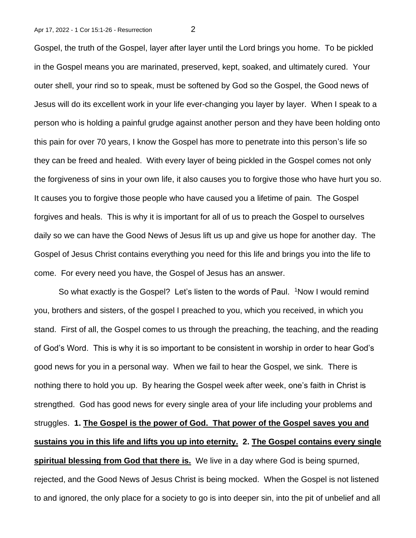Gospel, the truth of the Gospel, layer after layer until the Lord brings you home. To be pickled in the Gospel means you are marinated, preserved, kept, soaked, and ultimately cured. Your outer shell, your rind so to speak, must be softened by God so the Gospel, the Good news of Jesus will do its excellent work in your life ever-changing you layer by layer. When I speak to a person who is holding a painful grudge against another person and they have been holding onto this pain for over 70 years, I know the Gospel has more to penetrate into this person's life so they can be freed and healed. With every layer of being pickled in the Gospel comes not only the forgiveness of sins in your own life, it also causes you to forgive those who have hurt you so. It causes you to forgive those people who have caused you a lifetime of pain. The Gospel forgives and heals. This is why it is important for all of us to preach the Gospel to ourselves daily so we can have the Good News of Jesus lift us up and give us hope for another day. The Gospel of Jesus Christ contains everything you need for this life and brings you into the life to come. For every need you have, the Gospel of Jesus has an answer.

So what exactly is the Gospel? Let's listen to the words of Paul. <sup>1</sup>Now I would remind you, brothers and sisters, of the gospel I preached to you, which you received, in which you stand. First of all, the Gospel comes to us through the preaching, the teaching, and the reading of God's Word. This is why it is so important to be consistent in worship in order to hear God's good news for you in a personal way. When we fail to hear the Gospel, we sink. There is nothing there to hold you up. By hearing the Gospel week after week, one's faith in Christ is strengthed. God has good news for every single area of your life including your problems and struggles. **1. The Gospel is the power of God. That power of the Gospel saves you and sustains you in this life and lifts you up into eternity. 2. The Gospel contains every single spiritual blessing from God that there is.** We live in a day where God is being spurned, rejected, and the Good News of Jesus Christ is being mocked. When the Gospel is not listened to and ignored, the only place for a society to go is into deeper sin, into the pit of unbelief and all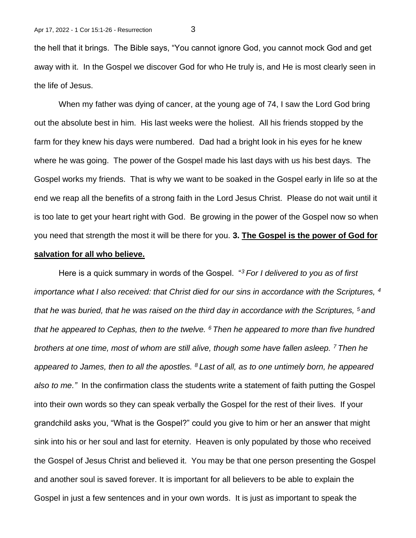the hell that it brings. The Bible says, "You cannot ignore God, you cannot mock God and get away with it. In the Gospel we discover God for who He truly is, and He is most clearly seen in the life of Jesus.

When my father was dying of cancer, at the young age of 74, I saw the Lord God bring out the absolute best in him. His last weeks were the holiest. All his friends stopped by the farm for they knew his days were numbered. Dad had a bright look in his eyes for he knew where he was going. The power of the Gospel made his last days with us his best days. The Gospel works my friends. That is why we want to be soaked in the Gospel early in life so at the end we reap all the benefits of a strong faith in the Lord Jesus Christ. Please do not wait until it is too late to get your heart right with God. Be growing in the power of the Gospel now so when you need that strength the most it will be there for you. **3. The Gospel is the power of God for** 

## **salvation for all who believe.**

Here is a quick summary in words of the Gospel. "*<sup>3</sup>For I delivered to you as of first importance what I also received: that Christ died for our sins in accordance with the Scriptures, <sup>4</sup> that he was buried, that he was raised on the third day in accordance with the Scriptures, <sup>5</sup>and that he appeared to Cephas, then to the twelve. <sup>6</sup>Then he appeared to more than five hundred brothers at one time, most of whom are still alive, though some have fallen asleep. <sup>7</sup>Then he appeared to James, then to all the apostles. <sup>8</sup>Last of all, as to one untimely born, he appeared also to me."* In the confirmation class the students write a statement of faith putting the Gospel into their own words so they can speak verbally the Gospel for the rest of their lives. If your grandchild asks you, "What is the Gospel?" could you give to him or her an answer that might sink into his or her soul and last for eternity. Heaven is only populated by those who received the Gospel of Jesus Christ and believed it. You may be that one person presenting the Gospel and another soul is saved forever. It is important for all believers to be able to explain the Gospel in just a few sentences and in your own words. It is just as important to speak the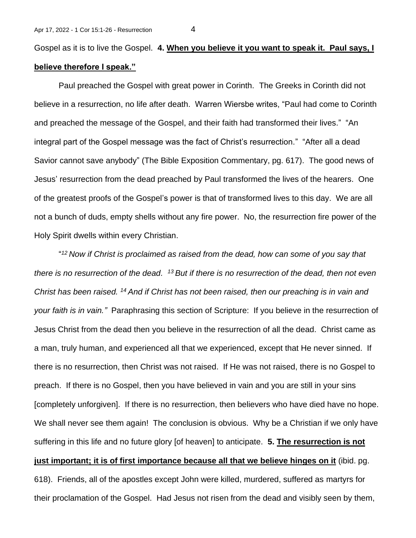Gospel as it is to live the Gospel. **4. When you believe it you want to speak it. Paul says, I believe therefore I speak."** 

Paul preached the Gospel with great power in Corinth. The Greeks in Corinth did not believe in a resurrection, no life after death. Warren Wiersbe writes, "Paul had come to Corinth and preached the message of the Gospel, and their faith had transformed their lives." "An integral part of the Gospel message was the fact of Christ's resurrection." "After all a dead Savior cannot save anybody" (The Bible Exposition Commentary, pg. 617). The good news of Jesus' resurrection from the dead preached by Paul transformed the lives of the hearers. One of the greatest proofs of the Gospel's power is that of transformed lives to this day. We are all not a bunch of duds, empty shells without any fire power. No, the resurrection fire power of the Holy Spirit dwells within every Christian.

" *<sup>12</sup>Now if Christ is proclaimed as raised from the dead, how can some of you say that there is no resurrection of the dead. <sup>13</sup>But if there is no resurrection of the dead, then not even Christ has been raised. <sup>14</sup>And if Christ has not been raised, then our preaching is in vain and your faith is in vain."* Paraphrasing this section of Scripture: If you believe in the resurrection of Jesus Christ from the dead then you believe in the resurrection of all the dead. Christ came as a man, truly human, and experienced all that we experienced, except that He never sinned. If there is no resurrection, then Christ was not raised. If He was not raised, there is no Gospel to preach. If there is no Gospel, then you have believed in vain and you are still in your sins [completely unforgiven]. If there is no resurrection, then believers who have died have no hope. We shall never see them again! The conclusion is obvious. Why be a Christian if we only have suffering in this life and no future glory [of heaven] to anticipate. **5. The resurrection is not just important; it is of first importance because all that we believe hinges on it** (ibid. pg. 618). Friends, all of the apostles except John were killed, murdered, suffered as martyrs for their proclamation of the Gospel. Had Jesus not risen from the dead and visibly seen by them,